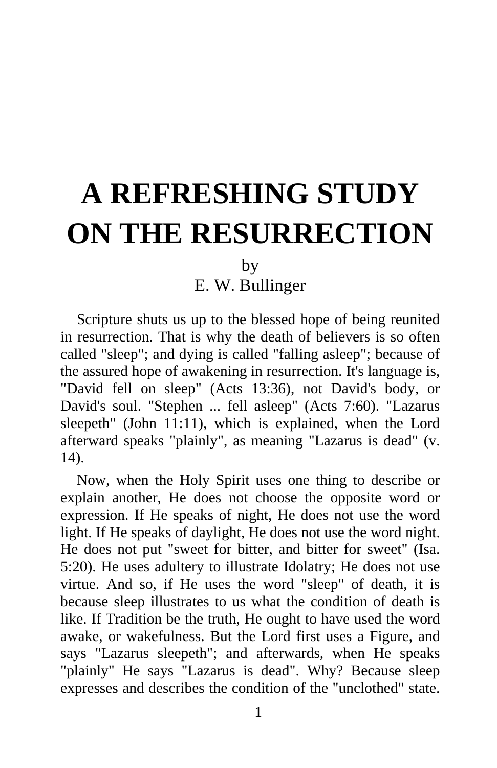## **A REFRESHING STUDY ON THE RESURRECTION**

by

E. W. Bullinger

Scripture shuts us up to the blessed hope of being reunited in resurrection. That is why the death of believers is so often called "sleep"; and dying is called "falling asleep"; because of the assured hope of awakening in resurrection. It's language is, "David fell on sleep" (Acts 13:36), not David's body, or David's soul. "Stephen ... fell asleep" (Acts 7:60). "Lazarus sleepeth" (John 11:11), which is explained, when the Lord afterward speaks "plainly", as meaning "Lazarus is dead" (v. 14).

Now, when the Holy Spirit uses one thing to describe or explain another, He does not choose the opposite word or expression. If He speaks of night, He does not use the word light. If He speaks of daylight, He does not use the word night. He does not put "sweet for bitter, and bitter for sweet" (Isa. 5:20). He uses adultery to illustrate Idolatry; He does not use virtue. And so, if He uses the word "sleep" of death, it is because sleep illustrates to us what the condition of death is like. If Tradition be the truth, He ought to have used the word awake, or wakefulness. But the Lord first uses a Figure, and says "Lazarus sleepeth"; and afterwards, when He speaks "plainly" He says "Lazarus is dead". Why? Because sleep expresses and describes the condition of the "unclothed" state.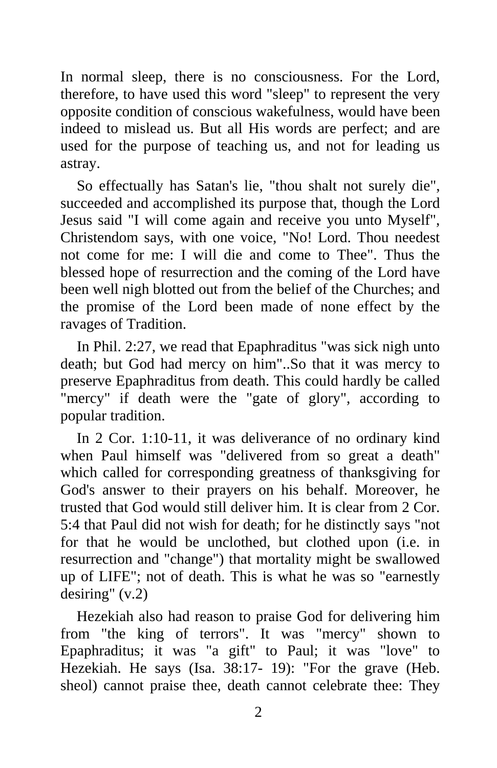In normal sleep, there is no consciousness. For the Lord, therefore, to have used this word "sleep" to represent the very opposite condition of conscious wakefulness, would have been indeed to mislead us. But all His words are perfect; and are used for the purpose of teaching us, and not for leading us astray.

So effectually has Satan's lie, "thou shalt not surely die", succeeded and accomplished its purpose that, though the Lord Jesus said "I will come again and receive you unto Myself", Christendom says, with one voice, "No! Lord. Thou needest not come for me: I will die and come to Thee". Thus the blessed hope of resurrection and the coming of the Lord have been well nigh blotted out from the belief of the Churches; and the promise of the Lord been made of none effect by the ravages of Tradition.

In Phil. 2:27, we read that Epaphraditus "was sick nigh unto death; but God had mercy on him"..So that it was mercy to preserve Epaphraditus from death. This could hardly be called "mercy" if death were the "gate of glory", according to popular tradition.

In 2 Cor. 1:10-11, it was deliverance of no ordinary kind when Paul himself was "delivered from so great a death" which called for corresponding greatness of thanksgiving for God's answer to their prayers on his behalf. Moreover, he trusted that God would still deliver him. It is clear from 2 Cor. 5:4 that Paul did not wish for death; for he distinctly says "not for that he would be unclothed, but clothed upon (i.e. in resurrection and "change") that mortality might be swallowed up of LIFE"; not of death. This is what he was so "earnestly desiring" (v.2)

Hezekiah also had reason to praise God for delivering him from "the king of terrors". It was "mercy" shown to Epaphraditus; it was "a gift" to Paul; it was "love" to Hezekiah. He says (Isa. 38:17- 19): "For the grave (Heb. sheol) cannot praise thee, death cannot celebrate thee: They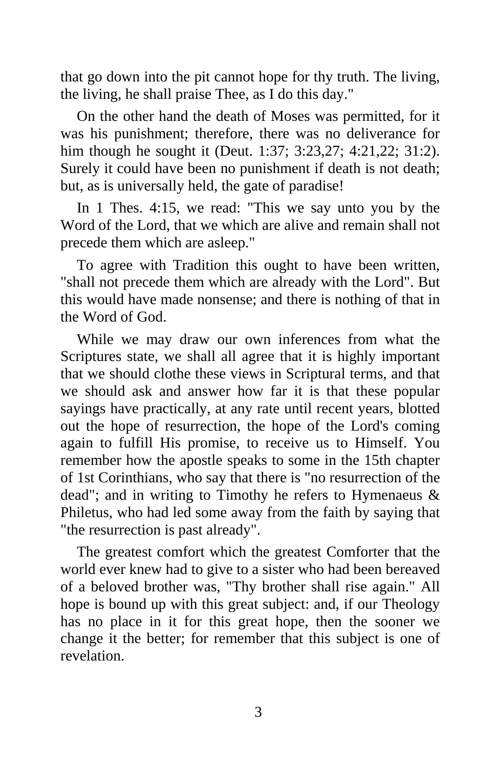that go down into the pit cannot hope for thy truth. The living, the living, he shall praise Thee, as I do this day."

On the other hand the death of Moses was permitted, for it was his punishment; therefore, there was no deliverance for him though he sought it (Deut. 1:37; 3:23,27; 4:21,22; 31:2). Surely it could have been no punishment if death is not death; but, as is universally held, the gate of paradise!

In 1 Thes. 4:15, we read: "This we say unto you by the Word of the Lord, that we which are alive and remain shall not precede them which are asleep."

To agree with Tradition this ought to have been written, "shall not precede them which are already with the Lord". But this would have made nonsense; and there is nothing of that in the Word of God.

While we may draw our own inferences from what the Scriptures state, we shall all agree that it is highly important that we should clothe these views in Scriptural terms, and that we should ask and answer how far it is that these popular sayings have practically, at any rate until recent years, blotted out the hope of resurrection, the hope of the Lord's coming again to fulfill His promise, to receive us to Himself. You remember how the apostle speaks to some in the 15th chapter of 1st Corinthians, who say that there is "no resurrection of the dead"; and in writing to Timothy he refers to Hymenaeus & Philetus, who had led some away from the faith by saying that "the resurrection is past already".

The greatest comfort which the greatest Comforter that the world ever knew had to give to a sister who had been bereaved of a beloved brother was, "Thy brother shall rise again." All hope is bound up with this great subject: and, if our Theology has no place in it for this great hope, then the sooner we change it the better; for remember that this subject is one of revelation.